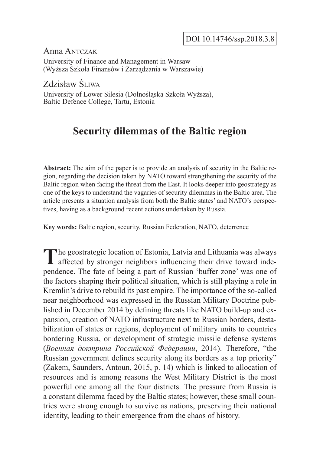Anna Antczak

University of Finance and Management in Warsaw (Wyższa Szkoła Finansów i Zarządzania w Warszawie)

Zdzisław Śliwa

University of Lower Silesia (Dolnośląska Szkoła Wyższa), Baltic Defence College, Tartu, Estonia

# **Security dilemmas of the Baltic region**

**Abstract:** The aim of the paper is to provide an analysis of security in the Baltic region, regarding the decision taken by NATO toward strengthening the security of the Baltic region when facing the threat from the East. It looks deeper into geostrategy as one of the keys to understand the vagaries of security dilemmas in the Baltic area. The article presents a situation analysis from both the Baltic states' and NATO's perspectives, having as a background recent actions undertaken by Russia.

**Key words:** Baltic region, security, Russian Federation, NATO, deterrence

The geostrategic location of Estonia, Latvia and Lithuania was always affected by stronger neighbors influencing their drive toward independence. The fate of being a part of Russian 'buffer zone' was one of the factors shaping their political situation, which is still playing a role in Kremlin's drive to rebuild its past empire. The importance of the so-called near neighborhood was expressed in the Russian Military Doctrine published in December 2014 by defining threats like NATO build-up and expansion, creation of NATO infrastructure next to Russian borders, destabilization of states or regions, deployment of military units to countries bordering Russia, or development of strategic missile defense systems (*Военная доктрина Российской Федерации*, 2014). Therefore, "the Russian government defines security along its borders as a top priority" (Zakem, Saunders, Antoun, 2015, p. 14) which is linked to allocation of resources and is among reasons the West Military District is the most powerful one among all the four districts. The pressure from Russia is a constant dilemma faced by the Baltic states; however, these small countries were strong enough to survive as nations, preserving their national identity, leading to their emergence from the chaos of history.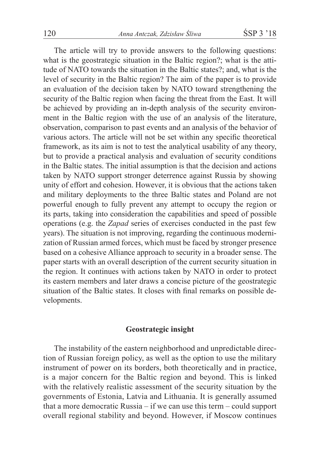The article will try to provide answers to the following questions: what is the geostrategic situation in the Baltic region?; what is the attitude of NATO towards the situation in the Baltic states?; and, what is the level of security in the Baltic region? The aim of the paper is to provide an evaluation of the decision taken by NATO toward strengthening the security of the Baltic region when facing the threat from the East. It will be achieved by providing an in-depth analysis of the security environment in the Baltic region with the use of an analysis of the literature, observation, comparison to past events and an analysis of the behavior of various actors. The article will not be set within any specific theoretical framework, as its aim is not to test the analytical usability of any theory, but to provide a practical analysis and evaluation of security conditions in the Baltic states. The initial assumption is that the decision and actions taken by NATO support stronger deterrence against Russia by showing unity of effort and cohesion. However, it is obvious that the actions taken and military deployments to the three Baltic states and Poland are not powerful enough to fully prevent any attempt to occupy the region or its parts, taking into consideration the capabilities and speed of possible operations (e.g. the *Zapad* series of exercises conducted in the past few years). The situation is not improving, regarding the continuous modernization of Russian armed forces, which must be faced by stronger presence based on a cohesive Alliance approach to security in a broader sense. The paper starts with an overall description of the current security situation in the region. It continues with actions taken by NATO in order to protect its eastern members and later draws a concise picture of the geostrategic situation of the Baltic states. It closes with final remarks on possible developments.

# **Geostrategic insight**

The instability of the eastern neighborhood and unpredictable direction of Russian foreign policy, as well as the option to use the military instrument of power on its borders, both theoretically and in practice, is a major concern for the Baltic region and beyond. This is linked with the relatively realistic assessment of the security situation by the governments of Estonia, Latvia and Lithuania. It is generally assumed that a more democratic Russia – if we can use this term – could support overall regional stability and beyond. However, if Moscow continues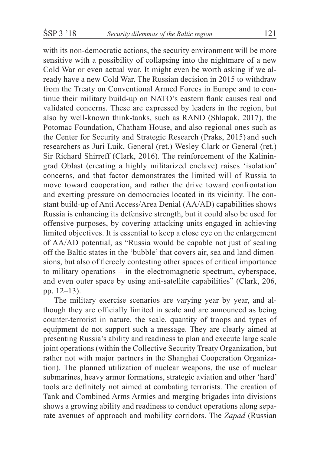with its non-democratic actions, the security environment will be more sensitive with a possibility of collapsing into the nightmare of a new Cold War or even actual war. It might even be worth asking if we already have a new Cold War. The Russian decision in 2015 to withdraw from the Treaty on Conventional Armed Forces in Europe and to continue their military build-up on NATO's eastern flank causes real and validated concerns. These are expressed by leaders in the region, but also by well-known think-tanks, such as RAND (Shlapak, 2017), the Potomac Foundation, Chatham House, and also regional ones such as the Center for Security and Strategic Research (Praks, 2015) and such researchers as Juri Luik, General (ret.) Wesley Clark or General (ret.) Sir Richard Shirreff (Clark, 2016). The reinforcement of the Kaliningrad Oblast (creating a highly militarized enclave) raises 'isolation' concerns, and that factor demonstrates the limited will of Russia to move toward cooperation, and rather the drive toward confrontation and exerting pressure on democracies located in its vicinity. The constant build-up of Anti Access/Area Denial (AA/AD) capabilities shows Russia is enhancing its defensive strength, but it could also be used for offensive purposes, by covering attacking units engaged in achieving limited objectives. It is essential to keep a close eye on the enlargement of AA/AD potential, as "Russia would be capable not just of sealing off the Baltic states in the 'bubble' that covers air, sea and land dimensions, but also of fiercely contesting other spaces of critical importance to military operations – in the electromagnetic spectrum, cyberspace, and even outer space by using anti-satellite capabilities" (Clark, 206, pp. 12–13).

The military exercise scenarios are varying year by year, and although they are officially limited in scale and are announced as being counter-terrorist in nature, the scale, quantity of troops and types of equipment do not support such a message. They are clearly aimed at presenting Russia's ability and readiness to plan and execute large scale joint operations (within the Collective Security Treaty Organization, but rather not with major partners in the Shanghai Cooperation Organization). The planned utilization of nuclear weapons, the use of nuclear submarines, heavy armor formations, strategic aviation and other 'hard' tools are definitely not aimed at combating terrorists. The creation of Tank and Combined Arms Armies and merging brigades into divisions shows a growing ability and readiness to conduct operations along separate avenues of approach and mobility corridors. The *Zapad* (Russian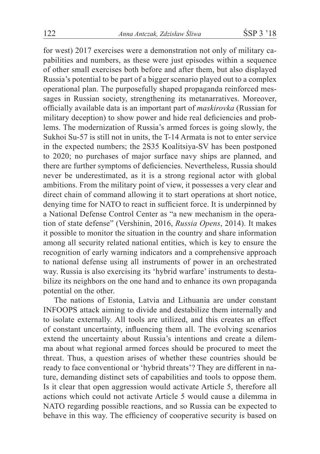for west) 2017 exercises were a demonstration not only of military capabilities and numbers, as these were just episodes within a sequence of other small exercises both before and after them, but also displayed Russia's potential to be part of a bigger scenario played out to a complex operational plan. The purposefully shaped propaganda reinforced messages in Russian society, strengthening its metanarratives. Moreover, officially available data is an important part of *maskirovka* (Russian for military deception) to show power and hide real deficiencies and problems. The modernization of Russia's armed forces is going slowly, the Sukhoi Su-57 is still not in units, the T-14 Armata is not to enter service in the expected numbers; the 2S35 Koalitsiya-SV has been postponed to 2020; no purchases of major surface navy ships are planned, and there are further symptoms of deficiencies. Nevertheless, Russia should never be underestimated, as it is a strong regional actor with global ambitions. From the military point of view, it possesses a very clear and direct chain of command allowing it to start operations at short notice, denying time for NATO to react in sufficient force. It is underpinned by a National Defense Control Center as "a new mechanism in the operation of state defense" (Vershinin, 2016, *Russia Opens*, 2014). It makes it possible to monitor the situation in the country and share information among all security related national entities, which is key to ensure the recognition of early warning indicators and a comprehensive approach to national defense using all instruments of power in an orchestrated way. Russia is also exercising its 'hybrid warfare' instruments to destabilize its neighbors on the one hand and to enhance its own propaganda potential on the other.

The nations of Estonia, Latvia and Lithuania are under constant INFOOPS attack aiming to divide and destabilize them internally and to isolate externally. All tools are utilized, and this creates an effect of constant uncertainty, influencing them all. The evolving scenarios extend the uncertainty about Russia's intentions and create a dilemma about what regional armed forces should be procured to meet the threat. Thus, a question arises of whether these countries should be ready to face conventional or 'hybrid threats'? They are different in nature, demanding distinct sets of capabilities and tools to oppose them. Is it clear that open aggression would activate Article 5, therefore all actions which could not activate Article 5 would cause a dilemma in NATO regarding possible reactions, and so Russia can be expected to behave in this way. The efficiency of cooperative security is based on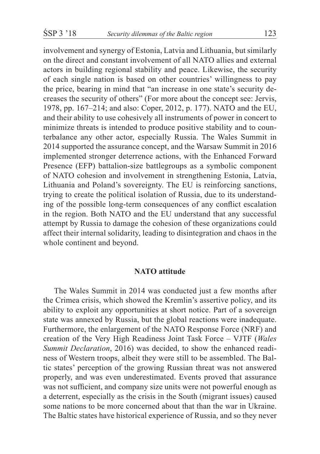involvement and synergy of Estonia, Latvia and Lithuania, but similarly on the direct and constant involvement of all NATO allies and external actors in building regional stability and peace. Likewise, the security of each single nation is based on other countries' willingness to pay the price, bearing in mind that "an increase in one state's security decreases the security of others" (For more about the concept see: Jervis, 1978, pp. 167–214; and also: Coper, 2012, p. 177). NATO and the EU, and their ability to use cohesively all instruments of power in concert to minimize threats is intended to produce positive stability and to counterbalance any other actor, especially Russia. The Wales Summit in 2014 supported the assurance concept, and the Warsaw Summit in 2016 implemented stronger deterrence actions, with the Enhanced Forward Presence (EFP) battalion-size battlegroups as a symbolic component of NATO cohesion and involvement in strengthening Estonia, Latvia, Lithuania and Poland's sovereignty. The EU is reinforcing sanctions, trying to create the political isolation of Russia, due to its understanding of the possible long-term consequences of any conflict escalation in the region. Both NATO and the EU understand that any successful attempt by Russia to damage the cohesion of these organizations could affect their internal solidarity, leading to disintegration and chaos in the whole continent and beyond.

## **NATO attitude**

The Wales Summit in 2014 was conducted just a few months after the Crimea crisis, which showed the Kremlin's assertive policy, and its ability to exploit any opportunities at short notice. Part of a sovereign state was annexed by Russia, but the global reactions were inadequate. Furthermore, the enlargement of the NATO Response Force (NRF) and creation of the Very High Readiness Joint Task Force – VJTF (*Wales Summit Declaration*, 2016) was decided, to show the enhanced readiness of Western troops, albeit they were still to be assembled. The Baltic states' perception of the growing Russian threat was not answered properly, and was even underestimated. Events proved that assurance was not sufficient, and company size units were not powerful enough as a deterrent, especially as the crisis in the South (migrant issues) caused some nations to be more concerned about that than the war in Ukraine. The Baltic states have historical experience of Russia, and so they never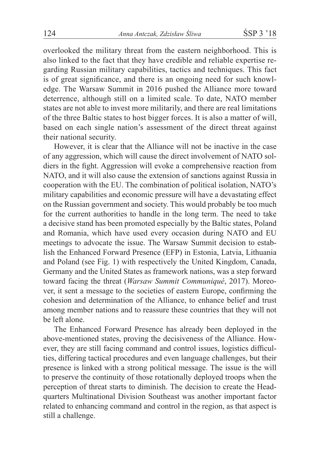overlooked the military threat from the eastern neighborhood. This is also linked to the fact that they have credible and reliable expertise regarding Russian military capabilities, tactics and techniques. This fact is of great significance, and there is an ongoing need for such knowledge. The Warsaw Summit in 2016 pushed the Alliance more toward deterrence, although still on a limited scale. To date, NATO member states are not able to invest more militarily, and there are real limitations of the three Baltic states to host bigger forces. It is also a matter of will, based on each single nation's assessment of the direct threat against their national security.

However, it is clear that the Alliance will not be inactive in the case of any aggression, which will cause the direct involvement of NATO soldiers in the fight. Aggression will evoke a comprehensive reaction from NATO, and it will also cause the extension of sanctions against Russia in cooperation with the EU. The combination of political isolation, NATO's military capabilities and economic pressure will have a devastating effect on the Russian government and society. This would probably be too much for the current authorities to handle in the long term. The need to take a decisive stand has been promoted especially by the Baltic states, Poland and Romania, which have used every occasion during NATO and EU meetings to advocate the issue. The Warsaw Summit decision to establish the Enhanced Forward Presence (EFP) in Estonia, Latvia, Lithuania and Poland (see Fig. 1) with respectively the United Kingdom, Canada, Germany and the United States as framework nations, was a step forward toward facing the threat (*Warsaw Summit Communiqué*, 2017). Moreover, it sent a message to the societies of eastern Europe, confirming the cohesion and determination of the Alliance, to enhance belief and trust among member nations and to reassure these countries that they will not be left alone.

The Enhanced Forward Presence has already been deployed in the above-mentioned states, proving the decisiveness of the Alliance. However, they are still facing command and control issues, logistics difficulties, differing tactical procedures and even language challenges, but their presence is linked with a strong political message. The issue is the will to preserve the continuity of those rotationally deployed troops when the perception of threat starts to diminish. The decision to create the Headquarters Multinational Division Southeast was another important factor related to enhancing command and control in the region, as that aspect is still a challenge.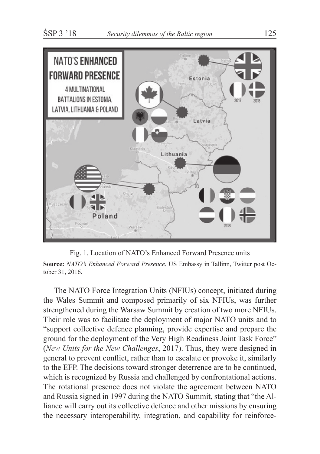

Fig. 1. Location of NATO's Enhanced Forward Presence units

**Source:** *NATO's Enhanced Forward Presence*, US Embassy in Tallinn, Twitter post October 31, 2016.

The NATO Force Integration Units (NFIUs) concept, initiated during the Wales Summit and composed primarily of six NFIUs, was further strengthened during the Warsaw Summit by creation of two more NFIUs. Their role was to facilitate the deployment of major NATO units and to "support collective defence planning, provide expertise and prepare the ground for the deployment of the Very High Readiness Joint Task Force" (*New Units for the New Challenges*, 2017). Thus, they were designed in general to prevent conflict, rather than to escalate or provoke it, similarly to the EFP. The decisions toward stronger deterrence are to be continued, which is recognized by Russia and challenged by confrontational actions. The rotational presence does not violate the agreement between NATO and Russia signed in 1997 during the NATO Summit, stating that "the Alliance will carry out its collective defence and other missions by ensuring the necessary interoperability, integration, and capability for reinforce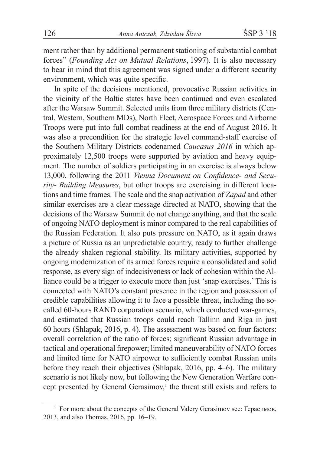ment rather than by additional permanent stationing of substantial combat forces" (*Founding Act on Mutual Relations*, 1997). It is also necessary to bear in mind that this agreement was signed under a different security environment, which was quite specific.

In spite of the decisions mentioned, provocative Russian activities in the vicinity of the Baltic states have been continued and even escalated after the Warsaw Summit. Selected units from three military districts (Central, Western, Southern MDs), North Fleet, Aerospace Forces and Airborne Troops were put into full combat readiness at the end of August 2016. It was also a precondition for the strategic level command-staff exercise of the Southern Military Districts codenamed *Caucasus 2016* in which approximately 12,500 troops were supported by aviation and heavy equipment. The number of soldiers participating in an exercise is always below 13,000, following the 2011 *Vienna Document on Confidence- and Security- Building Measures*, but other troops are exercising in different locations and time frames. The scale and the snap activation of *Zapad* and other similar exercises are a clear message directed at NATO, showing that the decisions of the Warsaw Summit do not change anything, and that the scale of ongoing NATO deployment is minor compared to the real capabilities of the Russian Federation. It also puts pressure on NATO, as it again draws a picture of Russia as an unpredictable country, ready to further challenge the already shaken regional stability. Its military activities, supported by ongoing modernization of its armed forces require a consolidated and solid response, as every sign of indecisiveness or lack of cohesion within the Alliance could be a trigger to execute more than just 'snap exercises.' This is connected with NATO's constant presence in the region and possession of credible capabilities allowing it to face a possible threat, including the socalled 60-hours RAND corporation scenario, which conducted war-games, and estimated that Russian troops could reach Tallinn and Riga in just 60 hours (Shlapak, 2016, p. 4). The assessment was based on four factors: overall correlation of the ratio of forces; significant Russian advantage in tactical and operational firepower; limited maneuverability of NATO forces and limited time for NATO airpower to sufficiently combat Russian units before they reach their objectives (Shlapak, 2016, pp. 4–6). The military scenario is not likely now, but following the New Generation Warfare concept presented by General Gerasimov,<sup>1</sup> the threat still exists and refers to

<sup>&</sup>lt;sup>1</sup> For more about the concepts of the General Valery Gerasimov see: Герасимов, 2013, and also Thomas, 2016, pp. 16–19.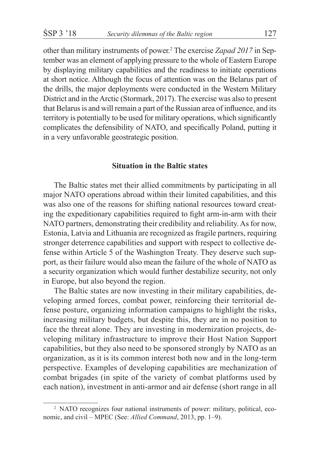other than military instruments of power.<sup>2</sup> The exercise *Zapad 2017* in September was an element of applying pressure to the whole of Eastern Europe by displaying military capabilities and the readiness to initiate operations at short notice. Although the focus of attention was on the Belarus part of the drills, the major deployments were conducted in the Western Military District and in the Arctic (Stormark, 2017). The exercise was also to present that Belarus is and will remain a part of the Russian area of influence, and its territory is potentially to be used for military operations, which significantly complicates the defensibility of NATO, and specifically Poland, putting it in a very unfavorable geostrategic position.

#### **Situation in the Baltic states**

The Baltic states met their allied commitments by participating in all major NATO operations abroad within their limited capabilities, and this was also one of the reasons for shifting national resources toward creating the expeditionary capabilities required to fight arm-in-arm with their NATO partners, demonstrating their credibility and reliability. As for now, Estonia, Latvia and Lithuania are recognized as fragile partners, requiring stronger deterrence capabilities and support with respect to collective defense within Article 5 of the Washington Treaty. They deserve such support, as their failure would also mean the failure of the whole of NATO as a security organization which would further destabilize security, not only in Europe, but also beyond the region.

The Baltic states are now investing in their military capabilities, developing armed forces, combat power, reinforcing their territorial defense posture, organizing information campaigns to highlight the risks, increasing military budgets, but despite this, they are in no position to face the threat alone. They are investing in modernization projects, developing military infrastructure to improve their Host Nation Support capabilities, but they also need to be sponsored strongly by NATO as an organization, as it is its common interest both now and in the long-term perspective. Examples of developing capabilities are mechanization of combat brigades (in spite of the variety of combat platforms used by each nation), investment in anti-armor and air defense (short range in all

<sup>&</sup>lt;sup>2</sup> NATO recognizes four national instruments of power: military, political, economic, and civil – MPEC (See: *Allied Command*, 2013, pp. 1–9).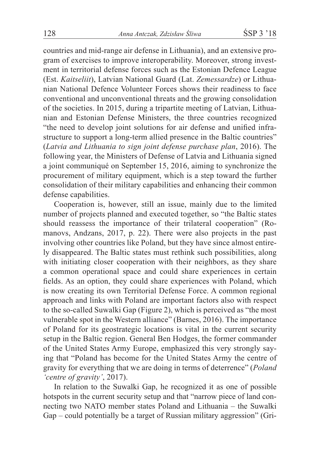countries and mid-range air defense in Lithuania), and an extensive program of exercises to improve interoperability. Moreover, strong investment in territorial defense forces such as the Estonian Defence League (Est. *Kaitseliit*), Latvian National Guard (Lat. *Zemessardze*) or Lithuanian National Defence Volunteer Forces shows their readiness to face conventional and unconventional threats and the growing consolidation of the societies. In 2015, during a tripartite meeting of Latvian, Lithuanian and Estonian Defense Ministers, the three countries recognized "the need to develop joint solutions for air defense and unified infrastructure to support a long-term allied presence in the Baltic countries" (*Latvia and Lithuania to sign joint defense purchase plan*, 2016). The following year, the Ministers of Defense of Latvia and Lithuania signed a joint communiqué on September 15, 2016, aiming to synchronize the procurement of military equipment, which is a step toward the further consolidation of their military capabilities and enhancing their common defense capabilities.

Cooperation is, however, still an issue, mainly due to the limited number of projects planned and executed together, so "the Baltic states should reassess the importance of their trilateral cooperation" (Romanovs, Andzans, 2017, p. 22). There were also projects in the past involving other countries like Poland, but they have since almost entirely disappeared. The Baltic states must rethink such possibilities, along with initiating closer cooperation with their neighbors, as they share a common operational space and could share experiences in certain fields. As an option, they could share experiences with Poland, which is now creating its own Territorial Defense Force. A common regional approach and links with Poland are important factors also with respect to the so-called Suwalki Gap (Figure 2), which is perceived as "the most vulnerable spot in the Western alliance" (Barnes, 2016). The importance of Poland for its geostrategic locations is vital in the current security setup in the Baltic region. General Ben Hodges, the former commander of the United States Army Europe, emphasized this very strongly saying that "Poland has become for the United States Army the centre of gravity for everything that we are doing in terms of deterrence" (*Poland 'centre of gravity'*, 2017).

In relation to the Suwalki Gap, he recognized it as one of possible hotspots in the current security setup and that "narrow piece of land connecting two NATO member states Poland and Lithuania – the Suwalki Gap – could potentially be a target of Russian military aggression" (Gri-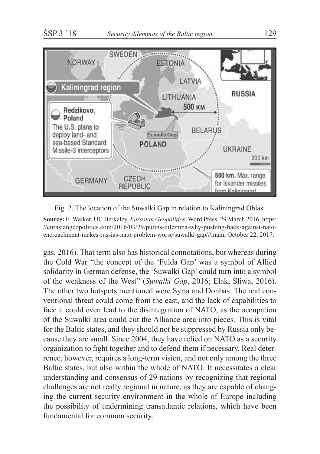



**Source:** E. Walker, UC Berkeley, *Eurasian Geopolitics*, Word Press, 29 March 2016, https: //eurasiangeopolitics.com/2016/03/29/putins-dilemma-why-pushing-back-against-natoencroachment-makes-russias-nato-problem-worse/suwalki-gap/#main, October 22, 2017.

gas, 2016). That term also has historical connotations, but whereas during the Cold War "the concept of the 'Fulda Gap' was a symbol of Allied solidarity in German defense, the 'Suwalki Gap' could turn into a symbol of the weakness of the West" (*Suwalki Gap*, 2016; Elak, Śliwa, 2016). The other two hotspots mentioned were Syria and Donbas. The real conventional threat could come from the east, and the lack of capabilities to face it could even lead to the disintegration of NATO, as the occupation of the Suwalki area could cut the Alliance area into pieces. This is vital for the Baltic states, and they should not be suppressed by Russia only because they are small. Since 2004, they have relied on NATO as a security organization to fight together and to defend them if necessary. Real deterrence, however, requires a long-term vision, and not only among the three Baltic states, but also within the whole of NATO. It necessitates a clear understanding and consensus of 29 nations by recognizing that regional challenges are not really regional in nature, as they are capable of changing the current security environment in the whole of Europe including the possibility of undermining transatlantic relations, which have been fundamental for common security.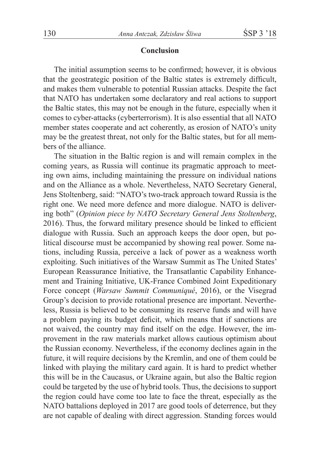## **Conclusion**

The initial assumption seems to be confirmed; however, it is obvious that the geostrategic position of the Baltic states is extremely difficult, and makes them vulnerable to potential Russian attacks. Despite the fact that NATO has undertaken some declaratory and real actions to support the Baltic states, this may not be enough in the future, especially when it comes to cyber-attacks (cyberterrorism). It is also essential that all NATO member states cooperate and act coherently, as erosion of NATO's unity may be the greatest threat, not only for the Baltic states, but for all members of the alliance.

The situation in the Baltic region is and will remain complex in the coming years, as Russia will continue its pragmatic approach to meeting own aims, including maintaining the pressure on individual nations and on the Alliance as a whole. Nevertheless, NATO Secretary General, Jens Stoltenberg, said: "NATO's two-track approach toward Russia is the right one. We need more defence and more dialogue. NATO is delivering both" (*Opinion piece by NATO Secretary General Jens Stoltenberg*, 2016). Thus, the forward military presence should be linked to efficient dialogue with Russia. Such an approach keeps the door open, but political discourse must be accompanied by showing real power. Some nations, including Russia, perceive a lack of power as a weakness worth exploiting. Such initiatives of the Warsaw Summit as The United States' European Reassurance Initiative, the Transatlantic Capability Enhancement and Training Initiative, UK-France Combined Joint Expeditionary Force concept (*Warsaw Summit Communiqué*, 2016), or the Visegrad Group's decision to provide rotational presence are important. Nevertheless, Russia is believed to be consuming its reserve funds and will have a problem paying its budget deficit, which means that if sanctions are not waived, the country may find itself on the edge. However, the improvement in the raw materials market allows cautious optimism about the Russian economy. Nevertheless, if the economy declines again in the future, it will require decisions by the Kremlin, and one of them could be linked with playing the military card again. It is hard to predict whether this will be in the Caucasus, or Ukraine again, but also the Baltic region could be targeted by the use of hybrid tools. Thus, the decisions to support the region could have come too late to face the threat, especially as the NATO battalions deployed in 2017 are good tools of deterrence, but they are not capable of dealing with direct aggression. Standing forces would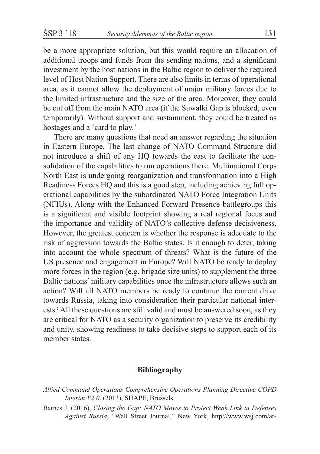be a more appropriate solution, but this would require an allocation of additional troops and funds from the sending nations, and a significant investment by the host nations in the Baltic region to deliver the required level of Host Nation Support. There are also limits in terms of operational area, as it cannot allow the deployment of major military forces due to the limited infrastructure and the size of the area. Moreover, they could be cut off from the main NATO area (if the Suwalki Gap is blocked, even temporarily). Without support and sustainment, they could be treated as hostages and a 'card to play.'

There are many questions that need an answer regarding the situation in Eastern Europe. The last change of NATO Command Structure did not introduce a shift of any HQ towards the east to facilitate the consolidation of the capabilities to run operations there. Multinational Corps North East is undergoing reorganization and transformation into a High Readiness Forces HQ and this is a good step, including achieving full operational capabilities by the subordinated NATO Force Integration Units (NFIUs). Along with the Enhanced Forward Presence battlegroups this is a significant and visible footprint showing a real regional focus and the importance and validity of NATO's collective defense decisiveness. However, the greatest concern is whether the response is adequate to the risk of aggression towards the Baltic states. Is it enough to deter, taking into account the whole spectrum of threats? What is the future of the US presence and engagement in Europe? Will NATO be ready to deploy more forces in the region (e.g. brigade size units) to supplement the three Baltic nations' military capabilities once the infrastructure allows such an action? Will all NATO members be ready to continue the current drive towards Russia, taking into consideration their particular national interests? All these questions are still valid and must be answered soon, as they are critical for NATO as a security organization to preserve its credibility and unity, showing readiness to take decisive steps to support each of its member states.

#### **Bibliography**

Barnes J. (2016), *Closing the Gap: NATO Moves to Protect Weak Link in Defenses Against Russia*, "Wall Street Journal," New York, http://www.wsj.com/ar-

*Allied Command Operations Comprehensive Operations Planning Directive COPD Interim V2.0*. (2013), SHAPE, Brussels.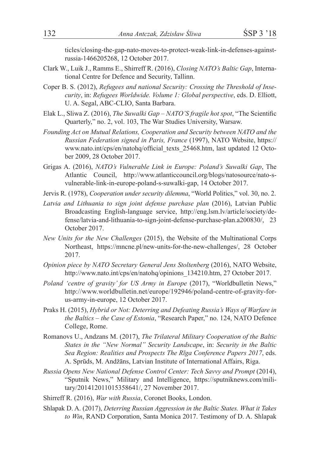ticles/closing-the-gap-nato-moves-to-protect-weak-link-in-defenses-againstrussia-1466205268, 12 October 2017.

- Clark W., Luik J., Ramms E., Shirreff R. (2016), *Closing NATO's Baltic Gap*, International Centre for Defence and Security, Tallinn.
- Coper B. S. (2012), *Refugees and national Security: Crossing the Threshold of Insecurity*, in: *Refugees Worldwide. Volume 1: Global perspective*, eds. D. Elliott, U. A. Segal, ABC-CLIO, Santa Barbara.
- Elak L., Sliwa Z. (2016), *The Suwalki Gap NATO'S fragile hot spot*, "The Scientific Quarterly," no. 2, vol. 103, The War Studies University, Warsaw.
- *Founding Act on Mutual Relations, Cooperation and Security between NATO and the Russian Federation signed in Paris, France* (1997), NATO Website, https:// www.nato.int/cps/en/natohq/official\_texts\_25468.htm, last updated 12 October 2009, 28 October 2017.
- Grigas A. (2016), *NATO's Vulnerable Link in Europe: Poland's Suwalki Gap*, The Atlantic Council, http://www.atlanticcouncil.org/blogs/natosource/nato-svulnerable-link-in-europe-poland-s-suwalki-gap, 14 October 2017.
- Jervis R. (1978), *Cooperation under security dilemma*, "World Politics," vol. 30, no. 2.
- *Latvia and Lithuania to sign joint defense purchase plan* (2016), Latvian Public Broadcasting English-language service, http://eng.lsm.lv/article/society/defense/latvia-and-lithuania-to-sign-joint-defense-purchase-plan.a200830/, 23 October 2017.
- *New Units for the New Challenges* (2015), the Website of the Multinational Corps Northeast, https://mncne.pl/new-units-for-the-new-challenges/, 28 October 2017.
- *Opinion piece by NATO Secretary General Jens Stoltenberg* (2016), NATO Website, http://www.nato.int/cps/en/natohq/opinions\_134210.htm, 27 October 2017.
- *Poland 'centre of gravity' for US Army in Europe* (2017), "Worldbulletin News," http://www.worldbulletin.net/europe/192946/poland-centre-of-gravity-forus-army-in-europe, 12 October 2017.
- Praks H. (2015), *Hybrid or Not: Deterring and Defeating Russia's Ways of Warfare in the Baltics – the Case of Estonia*, "Research Paper," no. 124, NATO Defence College, Rome.
- Romanovs U., Andzans M. (2017), *The Trilateral Military Cooperation of the Baltic States in the "New Normal" Security Landscape*, in: *Security in the Baltic Sea Region: Realities and Prospects The Rīga Conference Papers 2017*, eds. A. Sprūds, M. Andžāns, Latvian Institute of International Affairs, Riga.
- *Russia Opens New National Defense Control Center: Tech Savvy and Prompt* (2014), "Sputnik News," Military and Intelligence, https://sputniknews.com/military/201412011015358641/, 27 November 2017.
- Shirreff R. (2016), *War with Russia*, Coronet Books, London.
- Shlapak D. A. (2017), *Deterring Russian Aggression in the Baltic States. What it Takes to Win*, RAND Corporation, Santa Monica 2017. Testimony of D. A. Shlapak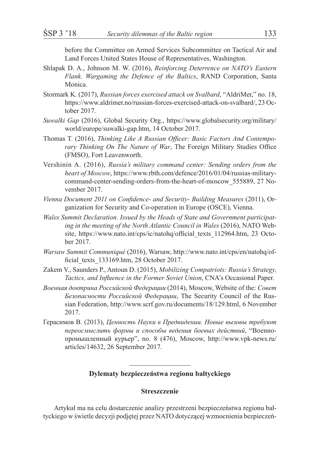before the Committee on Armed Services Subcommittee on Tactical Air and Land Forces United States House of Representatives, Washington.

- Shlapak D. A., Johnson M. W. (2016), *Reinforcing Deterrence on NATO's Eastern Flank. Wargaming the Defence of the Baltics*, RAND Corporation, Santa Monica.
- Stormark K. (2017), *Russian forces exercised attack on Svalbard*, "AldriMer," no. 18, https://www.aldrimer.no/russian-forces-exercised-attack-on-svalbard/, 23 October 2017.
- *Suwalki Gap* (2016), Global Security Org., https://www.globalsecurity.org/military/ world/europe/suwalki-gap.htm, 14 October 2017.
- Thomas T. (2016), *Thinking Like A Russian Officer: Basic Factors And Contemporary Thinking On The Nature of War*, The Foreign Military Studies Office (FMSO), Fort Leavenworth.
- Vershinin A. (2016), *Russia's military command center: Sending orders from the heart of Moscow*, https://www.rbth.com/defence/2016/01/04/russias-militarycommand-center-sending-orders-from-the-heart-of-moscow\_555889, 27 November 2017.
- *Vienna Document 2011 on Confidence- and Security- Building Measures* (2011), Organization for Security and Co-operation in Europe (OSCE), Vienna.
- *Wales Summit Declaration. Issued by the Heads of State and Government participating in the meeting of the North Atlantic Council in Wales* (2016), NATO Website, https://www.nato.int/cps/ic/natohq/official\_texts\_112964.htm, 23 October 2017.
- *Warsaw Summit Communiqué* (2016), Warsaw, http://www.nato.int/cps/en/natohq/official\_texts\_133169.htm, 28 October 2017.
- Zakem V., Saunders P., Antoun D. (2015), *Mobilizing Compatriots: Russia's Strategy, Tactics, and Influence in the Former Soviet Union*, CNA's Occasional Paper.
- *Военная доктрина Российской Федерации* (2014), Moscow, Website of the: *Совет Безопасности Российской Федерации*, The Security Council of the Russian Federation, http://www.scrf.gov.ru/documents/18/129.html, 6 November 2017.
- Герасимов В. (2013), *Ценность Науки в Предвидении. Новые вызовы требуют переосмыслить формы и способы ведения боевых действий*, "Военнопромышленный курьер", no. 8 (476), Moscow, http://www.vpk-news.ru/ articles/14632, 26 September 2017.

## **Dylematy bezpieczeństwa regionu bałtyckiego**

### **Streszczenie**

Artykuł ma na celu dostarczenie analizy przestrzeni bezpieczeństwa regionu bałtyckiego w świetle decyzji podjętej przez NATO dotyczącej wzmocnienia bezpieczeń-